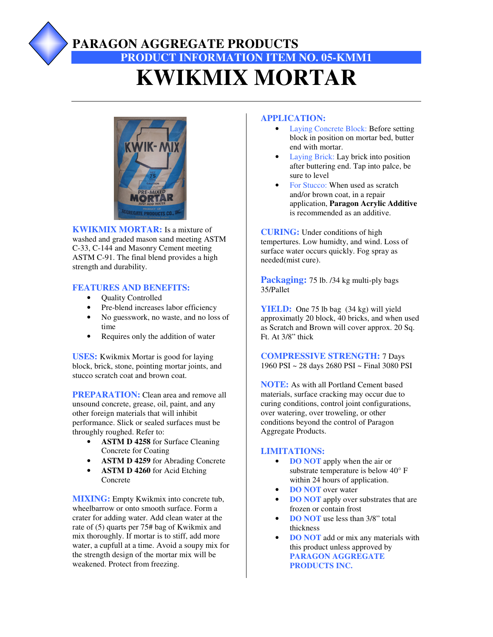## **PARAGON AGGREGATE PRODUCTS PRODUCT INFORMATION ITEM NO. 05-KMM1 KWIKMIX MORTAR**



**KWIKMIX MORTAR:** Is a mixture of washed and graded mason sand meeting ASTM C-33, C-144 and Masonry Cement meeting ASTM C-91. The final blend provides a high strength and durability.

### **FEATURES AND BENEFITS:**

- Quality Controlled
- Pre-blend increases labor efficiency
- No guesswork, no waste, and no loss of time
- Requires only the addition of water

**USES:** Kwikmix Mortar is good for laying block, brick, stone, pointing mortar joints, and stucco scratch coat and brown coat.

**PREPARATION:** Clean area and remove all unsound concrete, grease, oil, paint, and any other foreign materials that will inhibit performance. Slick or sealed surfaces must be throughly roughed. Refer to:

- **ASTM D 4258** for Surface Cleaning Concrete for Coating
- **ASTM D 4259** for Abrading Concrete
- **ASTM D 4260** for Acid Etching Concrete

**MIXING:** Empty Kwikmix into concrete tub, wheelbarrow or onto smooth surface. Form a crater for adding water. Add clean water at the rate of (5) quarts per 75# bag of Kwikmix and mix thoroughly. If mortar is to stiff, add more water, a cupfull at a time. Avoid a soupy mix for the strength design of the mortar mix will be weakened. Protect from freezing.

### **APPLICATION:**

- Laying Concrete Block: Before setting block in position on mortar bed, butter end with mortar.
- Laying Brick: Lay brick into position after buttering end. Tap into palce, be sure to level
- For Stucco: When used as scratch and/or brown coat, in a repair application, **Paragon Acrylic Additive** is recommended as an additive.

**CURING:** Under conditions of high tempertures. Low humidty, and wind. Loss of surface water occurs quickly. Fog spray as needed(mist cure).

**Packaging:** 75 lb. /34 kg multi-ply bags 35/Pallet

**YIELD:** One 75 lb bag (34 kg) will yield approximatly 20 block, 40 bricks, and when used as Scratch and Brown will cover approx. 20 Sq. Ft. At 3/8" thick

**COMPRESSIVE STRENGTH:** 7 Days 1960 PSI ~ 28 days 2680 PSI ~ Final 3080 PSI

**NOTE:** As with all Portland Cement based materials, surface cracking may occur due to curing conditions, control joint configurations, over watering, over troweling, or other conditions beyond the control of Paragon Aggregate Products.

### **LIMITATIONS:**

- **DO NOT** apply when the air or substrate temperature is below 40° F within 24 hours of application.
- **DO NOT** over water
- **DO NOT** apply over substrates that are frozen or contain frost
- **DO NOT** use less than 3/8" total thickness
- **DO NOT** add or mix any materials with this product unless approved by **PARAGON AGGREGATE PRODUCTS INC.**